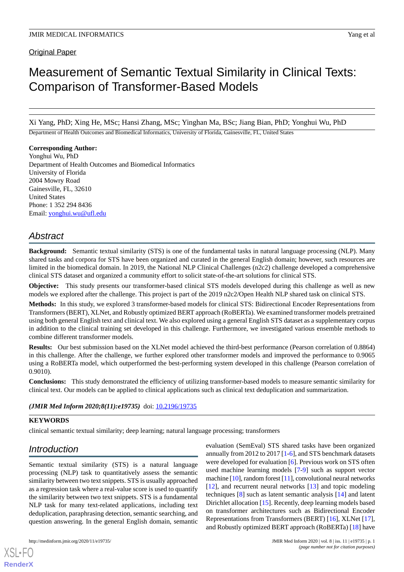# Measurement of Semantic Textual Similarity in Clinical Texts: Comparison of Transformer-Based Models

Xi Yang, PhD; Xing He, MSc; Hansi Zhang, MSc; Yinghan Ma, BSc; Jiang Bian, PhD; Yonghui Wu, PhD

Department of Health Outcomes and Biomedical Informatics, University of Florida, Gainesville, FL, United States

### **Corresponding Author:**

Yonghui Wu, PhD Department of Health Outcomes and Biomedical Informatics University of Florida 2004 Mowry Road Gainesville, FL, 32610 United States Phone: 1 352 294 8436 Email: [yonghui.wu@ufl.edu](mailto:yonghui.wu@ufl.edu)

# *Abstract*

**Background:** Semantic textual similarity (STS) is one of the fundamental tasks in natural language processing (NLP). Many shared tasks and corpora for STS have been organized and curated in the general English domain; however, such resources are limited in the biomedical domain. In 2019, the National NLP Clinical Challenges (n2c2) challenge developed a comprehensive clinical STS dataset and organized a community effort to solicit state-of-the-art solutions for clinical STS.

**Objective:** This study presents our transformer-based clinical STS models developed during this challenge as well as new models we explored after the challenge. This project is part of the 2019 n2c2/Open Health NLP shared task on clinical STS.

**Methods:** In this study, we explored 3 transformer-based models for clinical STS: Bidirectional Encoder Representations from Transformers (BERT), XLNet, and Robustly optimized BERT approach (RoBERTa). We examined transformer models pretrained using both general English text and clinical text. We also explored using a general English STS dataset as a supplementary corpus in addition to the clinical training set developed in this challenge. Furthermore, we investigated various ensemble methods to combine different transformer models.

**Results:** Our best submission based on the XLNet model achieved the third-best performance (Pearson correlation of 0.8864) in this challenge. After the challenge, we further explored other transformer models and improved the performance to 0.9065 using a RoBERTa model, which outperformed the best-performing system developed in this challenge (Pearson correlation of 0.9010).

**Conclusions:** This study demonstrated the efficiency of utilizing transformer-based models to measure semantic similarity for clinical text. Our models can be applied to clinical applications such as clinical text deduplication and summarization.

(JMIR Med Inform 2020;8(11):e19735) doi: [10.2196/19735](http://dx.doi.org/10.2196/19735)

# **KEYWORDS**

clinical semantic textual similarity; deep learning; natural language processing; transformers

# *Introduction*

Semantic textual similarity (STS) is a natural language processing (NLP) task to quantitatively assess the semantic similarity between two text snippets. STS is usually approached as a regression task where a real-value score is used to quantify the similarity between two text snippets. STS is a fundamental NLP task for many text-related applications, including text deduplication, paraphrasing detection, semantic searching, and question answering. In the general English domain, semantic

[XSL](http://www.w3.org/Style/XSL)•FO **[RenderX](http://www.renderx.com/)**

evaluation (SemEval) STS shared tasks have been organized annually from 2012 to 2017 [\[1](#page-7-0)[-6\]](#page-7-1), and STS benchmark datasets were developed for evaluation [\[6](#page-7-1)]. Previous work on STS often used machine learning models [[7-](#page-7-2)[9](#page-7-3)] such as support vector machine [\[10\]](#page-7-4), random forest [\[11](#page-7-5)], convolutional neural networks [[12\]](#page-7-6), and recurrent neural networks [\[13](#page-8-0)] and topic modeling techniques [\[8\]](#page-7-7) such as latent semantic analysis [\[14](#page-8-1)] and latent Dirichlet allocation [\[15](#page-8-2)]. Recently, deep learning models based on transformer architectures such as Bidirectional Encoder Representations from Transformers (BERT) [\[16](#page-8-3)], XLNet [[17\]](#page-8-4), and Robustly optimized BERT approach (RoBERTa) [[18\]](#page-8-5) have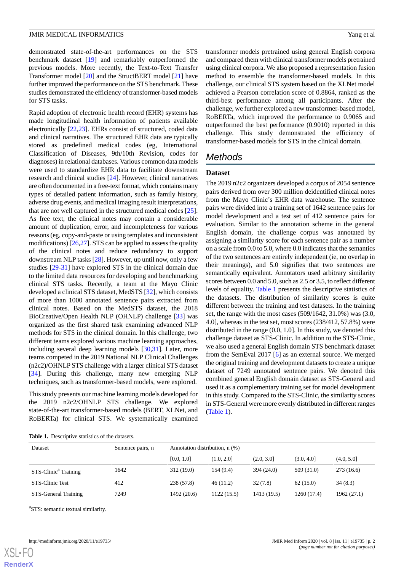demonstrated state-of-the-art performances on the STS benchmark dataset [\[19](#page-8-6)] and remarkably outperformed the previous models. More recently, the Text-to-Text Transfer Transformer model [\[20](#page-8-7)] and the StructBERT model [\[21](#page-8-8)] have further improved the performance on the STS benchmark. These studies demonstrated the efficiency of transformer-based models for STS tasks.

Rapid adoption of electronic health record (EHR) systems has made longitudinal health information of patients available electronically [\[22](#page-8-9),[23\]](#page-8-10). EHRs consist of structured, coded data and clinical narratives. The structured EHR data are typically stored as predefined medical codes (eg, International Classification of Diseases, 9th/10th Revision, codes for diagnoses) in relational databases. Various common data models were used to standardize EHR data to facilitate downstream research and clinical studies [\[24](#page-8-11)]. However, clinical narratives are often documented in a free-text format, which contains many types of detailed patient information, such as family history, adverse drug events, and medical imaging result interpretations, that are not well captured in the structured medical codes [[25\]](#page-8-12). As free text, the clinical notes may contain a considerable amount of duplication, error, and incompleteness for various reasons (eg, copy-and-paste or using templates and inconsistent modifications)  $[26,27]$  $[26,27]$  $[26,27]$  $[26,27]$ . STS can be applied to assess the quality of the clinical notes and reduce redundancy to support downstream NLP tasks [\[28](#page-8-15)]. However, up until now, only a few studies [[29-](#page-8-16)[31\]](#page-8-17) have explored STS in the clinical domain due to the limited data resources for developing and benchmarking clinical STS tasks. Recently, a team at the Mayo Clinic developed a clinical STS dataset, MedSTS [[32\]](#page-8-18), which consists of more than 1000 annotated sentence pairs extracted from clinical notes. Based on the MedSTS dataset, the 2018 BioCreative/Open Health NLP (OHNLP) challenge [\[33](#page-8-19)] was organized as the first shared task examining advanced NLP methods for STS in the clinical domain. In this challenge, two different teams explored various machine learning approaches, including several deep learning models [[30,](#page-8-20)[31](#page-8-17)]. Later, more teams competed in the 2019 National NLP Clinical Challenges (n2c2)/OHNLP STS challenge with a larger clinical STS dataset [[34\]](#page-8-21). During this challenge, many new emerging NLP techniques, such as transformer-based models, were explored.

<span id="page-1-0"></span>This study presents our machine learning models developed for the 2019 n2c2/OHNLP STS challenge. We explored state-of-the-art transformer-based models (BERT, XLNet, and RoBERTa) for clinical STS. We systematically examined transformer models pretrained using general English corpora and compared them with clinical transformer models pretrained using clinical corpora. We also proposed a representation fusion method to ensemble the transformer-based models. In this challenge, our clinical STS system based on the XLNet model achieved a Pearson correlation score of 0.8864, ranked as the third-best performance among all participants. After the challenge, we further explored a new transformer-based model, RoBERTa, which improved the performance to 0.9065 and outperformed the best performance (0.9010) reported in this challenge. This study demonstrated the efficiency of transformer-based models for STS in the clinical domain.

# *Methods*

#### **Dataset**

The 2019 n2c2 organizers developed a corpus of 2054 sentence pairs derived from over 300 million deidentified clinical notes from the Mayo Clinic's EHR data warehouse. The sentence pairs were divided into a training set of 1642 sentence pairs for model development and a test set of 412 sentence pairs for evaluation. Similar to the annotation scheme in the general English domain, the challenge corpus was annotated by assigning a similarity score for each sentence pair as a number on a scale from 0.0 to 5.0, where 0.0 indicates that the semantics of the two sentences are entirely independent (ie, no overlap in their meanings), and 5.0 signifies that two sentences are semantically equivalent. Annotators used arbitrary similarity scores between 0.0 and 5.0, such as 2.5 or 3.5, to reflect different levels of equality. [Table 1](#page-1-0) presents the descriptive statistics of the datasets. The distribution of similarity scores is quite different between the training and test datasets. In the training set, the range with the most cases (509/1642, 31.0%) was (3.0, 4.0], whereas in the test set, most scores (238/412, 57.8%) were distributed in the range (0.0, 1.0]. In this study, we denoted this challenge dataset as STS-Clinic. In addition to the STS-Clinic, we also used a general English domain STS benchmark dataset from the SemEval 2017 [[6\]](#page-7-1) as an external source. We merged the original training and development datasets to create a unique dataset of 7249 annotated sentence pairs. We denoted this combined general English domain dataset as STS-General and used it as a complementary training set for model development in this study. Compared to the STS-Clinic, the similarity scores in STS-General were more evenly distributed in different ranges ([Table 1](#page-1-0)).

| <b>Table 1.</b> Descriptive statistics of the datasets. |  |  |
|---------------------------------------------------------|--|--|
|                                                         |  |  |

| Dataset                          | Sentence pairs, n | Annotation distribution, n (%) |             |             |             |             |
|----------------------------------|-------------------|--------------------------------|-------------|-------------|-------------|-------------|
|                                  |                   | [0.0, 1.0]                     | (1.0, 2.01) | (2.0, 3.0]  | (3.0, 4.0]  | (4.0, 5.0]  |
| STS-Clinic <sup>a</sup> Training | 1642              | 312(19.0)                      | 154(9.4)    | 394 (24.0)  | 509 (31.0)  | 273 (16.6)  |
| STS-Clinic Test                  | 412               | 238 (57.8)                     | 46(11.2)    | 32(7.8)     | 62(15.0)    | 34(8.3)     |
| STS-General Training             | 7249              | 1492 (20.6)                    | 1122 (15.5) | 1413 (19.5) | 1260 (17.4) | 1962 (27.1) |

<sup>a</sup>STS: semantic textual similarity.

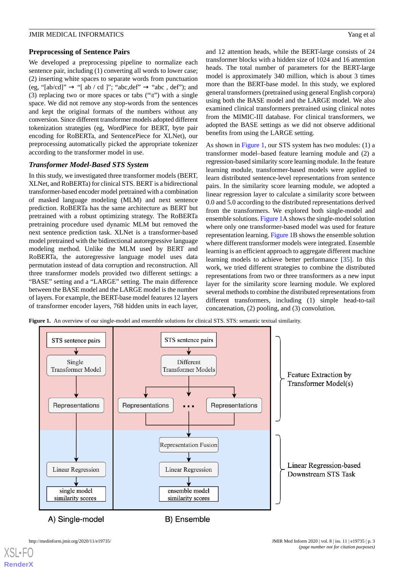#### **Preprocessing of Sentence Pairs**

We developed a preprocessing pipeline to normalize each sentence pair, including (1) converting all words to lower case; (2) inserting white spaces to separate words from punctuation (eg, "[ab/cd]"  $\rightarrow$  "[ ab / cd ]"; "abc,def"  $\rightarrow$  "abc, def"); and (3) replacing two or more spaces or tabs  $("t")$  with a single space. We did not remove any stop-words from the sentences and kept the original formats of the numbers without any conversion. Since different transformer models adopted different tokenization strategies (eg, WordPiece for BERT, byte pair encoding for RoBERTa, and SentencePiece for XLNet), our preprocessing automatically picked the appropriate tokenizer according to the transformer model in use.

#### *Transformer Model-Based STS System*

In this study, we investigated three transformer models (BERT, XLNet, and RoBERTa) for clinical STS. BERT is a bidirectional transformer-based encoder model pretrained with a combination of masked language modeling (MLM) and next sentence prediction. RoBERTa has the same architecture as BERT but pretrained with a robust optimizing strategy. The RoBERTa pretraining procedure used dynamic MLM but removed the next sentence prediction task. XLNet is a transformer-based model pretrained with the bidirectional autoregressive language modeling method. Unlike the MLM used by BERT and RoBERTa, the autoregressive language model uses data permutation instead of data corruption and reconstruction. All three transformer models provided two different settings: a "BASE" setting and a "LARGE" setting. The main difference between the BASE model and the LARGE model is the number of layers. For example, the BERT-base model features 12 layers of transformer encoder layers, 768 hidden units in each layer, and 12 attention heads, while the BERT-large consists of 24 transformer blocks with a hidden size of 1024 and 16 attention heads. The total number of parameters for the BERT-large model is approximately 340 million, which is about 3 times more than the BERT-base model. In this study, we explored general transformers (pretrained using general English corpora) using both the BASE model and the LARGE model. We also examined clinical transformers pretrained using clinical notes from the MIMIC-III database. For clinical transformers, we adopted the BASE settings as we did not observe additional benefits from using the LARGE setting.

As shown in [Figure 1,](#page-2-0) our STS system has two modules: (1) a transformer model–based feature learning module and (2) a regression-based similarity score learning module. In the feature learning module, transformer-based models were applied to learn distributed sentence-level representations from sentence pairs. In the similarity score learning module, we adopted a linear regression layer to calculate a similarity score between 0.0 and 5.0 according to the distributed representations derived from the transformers. We explored both single-model and ensemble solutions. [Figure 1A](#page-2-0) shows the single-model solution where only one transformer-based model was used for feature representation learning. [Figure 1B](#page-2-0) shows the ensemble solution where different transformer models were integrated. Ensemble learning is an efficient approach to aggregate different machine learning models to achieve better performance [[35\]](#page-8-22). In this work, we tried different strategies to combine the distributed representations from two or three transformers as a new input layer for the similarity score learning module. We explored several methods to combine the distributed representations from different transformers, including (1) simple head-to-tail concatenation, (2) pooling, and (3) convolution.

<span id="page-2-0"></span>**Figure 1.** An overview of our single-model and ensemble solutions for clinical STS. STS: semantic textual similarity.

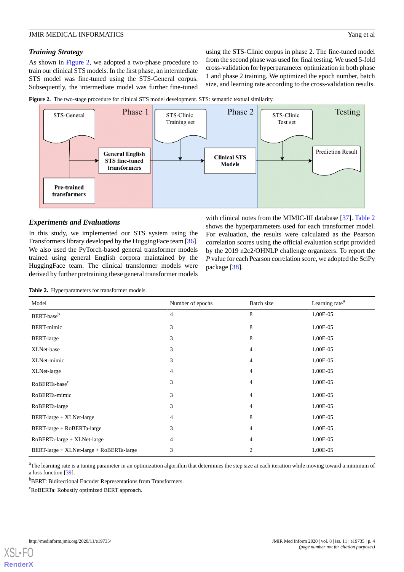#### *Training Strategy*

As shown in [Figure 2](#page-3-0), we adopted a two-phase procedure to train our clinical STS models. In the first phase, an intermediate STS model was fine-tuned using the STS-General corpus. Subsequently, the intermediate model was further fine-tuned using the STS-Clinic corpus in phase 2. The fine-tuned model from the second phase was used for final testing. We used 5-fold cross-validation for hyperparameter optimization in both phase 1 and phase 2 training. We optimized the epoch number, batch size, and learning rate according to the cross-validation results.

<span id="page-3-0"></span>



#### *Experiments and Evaluations*

<span id="page-3-1"></span>In this study, we implemented our STS system using the Transformers library developed by the HuggingFace team [[36\]](#page-8-23). We also used the PyTorch-based general transformer models trained using general English corpora maintained by the HuggingFace team. The clinical transformer models were derived by further pretraining these general transformer models

with clinical notes from the MIMIC-III database [[37\]](#page-9-0). [Table 2](#page-3-1) shows the hyperparameters used for each transformer model. For evaluation, the results were calculated as the Pearson correlation scores using the official evaluation script provided by the 2019 n2c2/OHNLP challenge organizers. To report the *P* value for each Pearson correlation score, we adopted the SciPy package [\[38](#page-9-1)].

| Table 2. Hyperparameters for transformer models. |  |
|--------------------------------------------------|--|
|--------------------------------------------------|--|

| Model                                                           | Number of epochs | Batch size     | Learning rate <sup>a</sup> |
|-----------------------------------------------------------------|------------------|----------------|----------------------------|
| BERT-base <sup>b</sup>                                          | $\overline{4}$   | 8              | 1.00E-05                   |
| <b>BERT-mimic</b>                                               | 3                | 8              | 1.00E-05                   |
| <b>BERT-large</b>                                               | 3                | 8              | 1.00E-05                   |
| XLNet-base                                                      | 3                | 4              | 1.00E-05                   |
| XLNet-mimic                                                     | 3                | 4              | 1.00E-05                   |
| XLNet-large                                                     | 4                | $\overline{4}$ | 1.00E-05                   |
| RoBERTa-base <sup>c</sup>                                       | 3                | $\overline{4}$ | 1.00E-05                   |
| RoBERTa-mimic                                                   | 3                | $\overline{4}$ | 1.00E-05                   |
| RoBERTa-large                                                   | 3                | 4              | 1.00E-05                   |
| BERT-large + XLNet-large                                        | 4                | 8              | 1.00E-05                   |
| BERT-large + RoBERTa-large                                      | 3                | $\overline{4}$ | 1.00E-05                   |
| $RoBERTa$ -large + $XLNet$ -large                               | $\overline{4}$   | $\overline{4}$ | 1.00E-05                   |
| $BERT\text{-}large + XLNet\text{-}large + RoBERTa\text{-}large$ | 3                | 2              | 1.00E-05                   |

<sup>a</sup>The learning rate is a tuning parameter in an optimization algorithm that determines the step size at each iteration while moving toward a minimum of a loss function [\[39\]](#page-9-2).

<sup>b</sup>BERT: Bidirectional Encoder Representations from Transformers.

 $c$ RoBERTa: Robustly optimized BERT approach.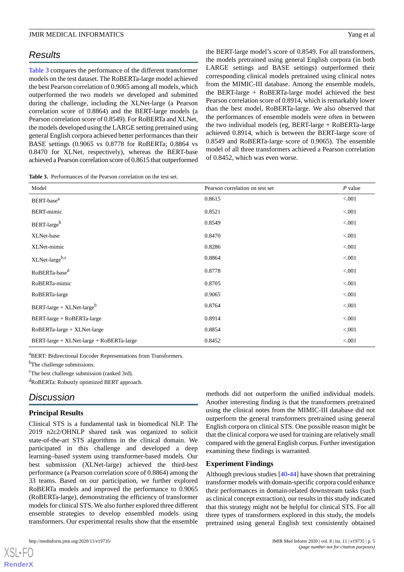# *Results*

[Table 3](#page-4-0) compares the performance of the different transformer models on the test dataset. The RoBERTa-large model achieved the best Pearson correlation of 0.9065 among all models, which outperformed the two models we developed and submitted during the challenge, including the XLNet-large (a Pearson correlation score of 0.8864) and the BERT-large models (a Pearson correlation score of 0.8549). For RoBERTa and XLNet, the models developed using the LARGE setting pretrained using general English corpora achieved better performances than their BASE settings (0.9065 vs 0.8778 for RoBERTa; 0.8864 vs 0.8470 for XLNet, respectively), whereas the BERT-base achieved a Pearson correlation score of 0.8615 that outperformed

<span id="page-4-0"></span>**Table 3.** Performances of the Pearson correlation on the test set.

the BERT-large model's score of 0.8549. For all transformers, the models pretrained using general English corpora (in both LARGE settings and BASE settings) outperformed their corresponding clinical models pretrained using clinical notes from the MIMIC-III database. Among the ensemble models, the BERT-large + RoBERTa-large model achieved the best Pearson correlation score of 0.8914, which is remarkably lower than the best model, RoBERTa-large. We also observed that the performances of ensemble models were often in between the two individual models (eg, BERT-large + RoBERTa-large achieved 0.8914, which is between the BERT-large score of 0.8549 and RoBERTa-large score of 0.9065). The ensemble model of all three transformers achieved a Pearson correlation of 0.8452, which was even worse.

| Model                                    | Pearson correlation on test set | $P$ value |
|------------------------------------------|---------------------------------|-----------|
| BERT-base <sup>a</sup>                   | 0.8615                          | < 0.001   |
| <b>BERT-mimic</b>                        | 0.8521                          | < 0.001   |
| BERT-large <sup>b</sup>                  | 0.8549                          | < 0.001   |
| XLNet-base                               | 0.8470                          | < 0.001   |
| XLNet-mimic                              | 0.8286                          | < 0.001   |
| XLNet-largeb,c                           | 0.8864                          | < 0.001   |
| RoBERTa-base <sup>d</sup>                | 0.8778                          | < 0.001   |
| RoBERTa-mimic                            | 0.8705                          | < 0.001   |
| RoBERTa-large                            | 0.9065                          | < 0.001   |
| BERT-large + $XLNet$ -large <sup>b</sup> | 0.8764                          | < 0.001   |
| BERT-large + RoBERTa-large               | 0.8914                          | < 0.001   |
| RoBERTa-large + XLNet-large              | 0.8854                          | < 0.001   |
| BERT-large + XLNet-large + RoBERTa-large | 0.8452                          | < 0.001   |

<sup>a</sup>BERT: Bidirectional Encoder Representations from Transformers.

<sup>b</sup>The challenge submissions.

<sup>c</sup>The best challenge submission (ranked 3rd).

<sup>d</sup>RoBERTa: Robustly optimized BERT approach.

# *Discussion*

#### **Principal Results**

Clinical STS is a fundamental task in biomedical NLP. The 2019 n2c2/OHNLP shared task was organized to solicit state-of-the-art STS algorithms in the clinical domain. We participated in this challenge and developed a deep learning–based system using transformer-based models. Our best submission (XLNet-large) achieved the third-best performance (a Pearson correlation score of 0.8864) among the 33 teams. Based on our participation, we further explored RoBERTa models and improved the performance to 0.9065 (RoBERTa-large), demonstrating the efficiency of transformer models for clinical STS. We also further explored three different ensemble strategies to develop ensembled models using transformers. Our experimental results show that the ensemble

[XSL](http://www.w3.org/Style/XSL)•FO **[RenderX](http://www.renderx.com/)**

methods did not outperform the unified individual models. Another interesting finding is that the transformers pretrained using the clinical notes from the MIMIC-III database did not outperform the general transformers pretrained using general English corpora on clinical STS. One possible reason might be that the clinical corpora we used for training are relatively small compared with the general English corpus. Further investigation examining these findings is warranted.

#### **Experiment Findings**

Although previous studies [[40-](#page-9-3)[44\]](#page-9-4) have shown that pretraining transformer models with domain-specific corpora could enhance their performances in domain-related downstream tasks (such as clinical concept extraction), our results in this study indicated that this strategy might not be helpful for clinical STS. For all three types of transformers explored in this study, the models pretrained using general English text consistently obtained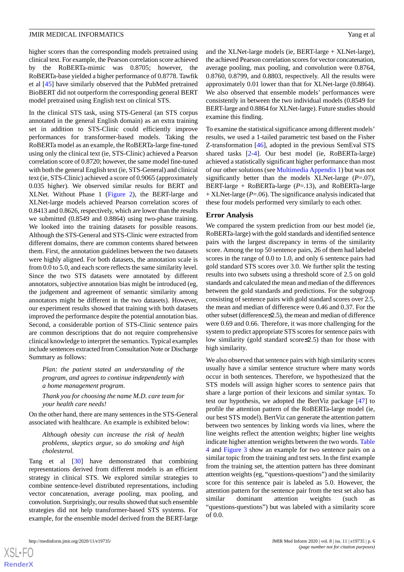higher scores than the corresponding models pretrained using clinical text. For example, the Pearson correlation score achieved by the RoBERTa-mimic was 0.8705; however, the RoBERTa-base yielded a higher performance of 0.8778. Tawfik et al [\[45](#page-9-5)] have similarly observed that the PubMed pretrained BioBERT did not outperform the corresponding general BERT model pretrained using English text on clinical STS.

In the clinical STS task, using STS-General (an STS corpus annotated in the general English domain) as an extra training set in addition to STS-Clinic could efficiently improve performances for transformer-based models. Taking the RoBERTa model as an example, the RoBERTa-large fine-tuned using only the clinical text (ie, STS-Clinic) achieved a Pearson correlation score of 0.8720; however, the same model fine-tuned with both the general English text (ie, STS-General) and clinical text (ie, STS-Clinic) achieved a score of 0.9065 (approximately 0.035 higher). We observed similar results for BERT and XLNet. Without Phase 1 ([Figure 2\)](#page-3-0), the BERT-large and XLNet-large models achieved Pearson correlation scores of 0.8413 and 0.8626, respectively, which are lower than the results we submitted (0.8549 and 0.8864) using two-phase training. We looked into the training datasets for possible reasons. Although the STS-General and STS-Clinic were extracted from different domains, there are common contents shared between them. First, the annotation guidelines between the two datasets were highly aligned. For both datasets, the annotation scale is from 0.0 to 5.0, and each score reflects the same similarity level. Since the two STS datasets were annotated by different annotators, subjective annotation bias might be introduced (eg, the judgement and agreement of semantic similarity among annotators might be different in the two datasets). However, our experiment results showed that training with both datasets improved the performance despite the potential annotation bias. Second, a considerable portion of STS-Clinic sentence pairs are common descriptions that do not require comprehensive clinical knowledge to interpret the semantics. Typical examples include sentences extracted from Consultation Note or Discharge Summary as follows:

*Plan: the patient stated an understanding of the program, and agrees to continue independently with a home management program.*

*Thank you for choosing the name M.D. care team for your health care needs!*

On the other hand, there are many sentences in the STS-General associated with healthcare. An example is exhibited below:

*Although obesity can increase the risk of health problems, skeptics argue, so do smoking and high cholesterol.*

Tang et al [\[30](#page-8-20)] have demonstrated that combining representations derived from different models is an efficient strategy in clinical STS. We explored similar strategies to combine sentence-level distributed representations, including vector concatenation, average pooling, max pooling, and convolution. Surprisingly, our results showed that such ensemble strategies did not help transformer-based STS systems. For example, for the ensemble model derived from the BERT-large

and the XLNet-large models (ie, BERT-large + XLNet-large), the achieved Pearson correlation scores for vector concatenation, average pooling, max pooling, and convolution were 0.8764, 0.8760, 0.8799, and 0.8803, respectively. All the results were approximately 0.01 lower than that for XLNet-large (0.8864). We also observed that ensemble models' performances were consistently in between the two individual models (0.8549 for BERT-large and 0.8864 for XLNet-large). Future studies should examine this finding.

To examine the statistical significance among different models' results, we used a 1-tailed parametric test based on the Fisher Z-transformation [\[46](#page-9-6)], adopted in the previous SemEval STS shared tasks [[2-](#page-7-8)[4\]](#page-7-9). Our best model (ie, RoBERTa-large) achieved a statistically significant higher performance than most of our other solutions (see [Multimedia Appendix 1\)](#page-7-10) but was not significantly better than the models XLNet-large  $(P=07)$ , BERT-large + RoBERTa-large (*P*=.13), and RoBERTa-large + XLNet-large (*P*=.06). The significance analysis indicated that these four models performed very similarly to each other.

#### **Error Analysis**

We compared the system prediction from our best model (ie, RoBERTa-large) with the gold standards and identified sentence pairs with the largest discrepancy in terms of the similarity score. Among the top 50 sentence pairs, 26 of them had labeled scores in the range of 0.0 to 1.0, and only 6 sentence pairs had gold standard STS scores over 3.0. We further split the testing results into two subsets using a threshold score of 2.5 on gold standards and calculated the mean and median of the differences between the gold standards and predictions. For the subgroup consisting of sentence pairs with gold standard scores over 2.5, the mean and median of difference were 0.46 and 0.37. For the other subset (difference≤2.5), the mean and median of difference were 0.69 and 0.66. Therefore, it was more challenging for the system to predict appropriate STS scores for sentence pairs with low similarity (gold standard score≤2.5) than for those with high similarity.

We also observed that sentence pairs with high similarity scores usually have a similar sentence structure where many words occur in both sentences. Therefore, we hypothesized that the STS models will assign higher scores to sentence pairs that share a large portion of their lexicons and similar syntax. To test our hypothesis, we adopted the BertViz package [[47\]](#page-9-7) to profile the attention pattern of the RoBERTa-large model (ie, our best STS model). BertViz can generate the attention pattern between two sentences by linking words via lines, where the line weights reflect the attention weights; higher line weights indicate higher attention weights between the two words. [Table](#page-6-0) [4](#page-6-0) and [Figure 3](#page-6-1) show an example for two sentence pairs on a similar topic from the training and test sets. In the first example from the training set, the attention pattern has three dominant attention weights (eg, "questions-questions") and the similarity score for this sentence pair is labeled as 5.0. However, the attention pattern for the sentence pair from the test set also has similar dominant attention weights (such as "questions-questions") but was labeled with a similarity score of 0.0.

 $XSI - F($ **[RenderX](http://www.renderx.com/)**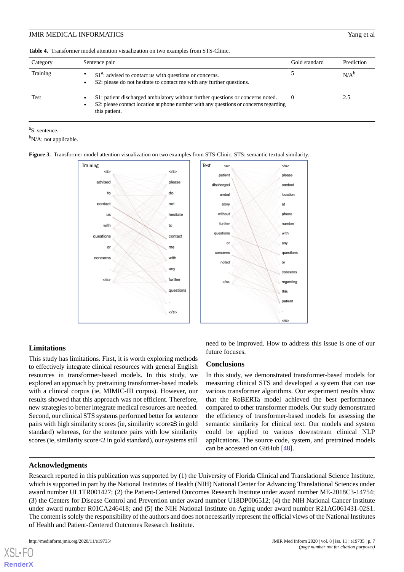<span id="page-6-0"></span>

|  |  |  |  | <b>Table 4.</b> Transformer model attention visualization on two examples from STS-Clinic. |  |
|--|--|--|--|--------------------------------------------------------------------------------------------|--|
|--|--|--|--|--------------------------------------------------------------------------------------------|--|

| Category | Sentence pair                                                                                                                                                                           |  | Prediction |
|----------|-----------------------------------------------------------------------------------------------------------------------------------------------------------------------------------------|--|------------|
| Training | $S1a$ : advised to contact us with questions or concerns.<br>S2: please do not hesitate to contact me with any further questions.                                                       |  | $N/A^b$    |
| Test     | S1: patient discharged ambulatory without further questions or concerns noted.<br>S2: please contact location at phone number with any questions or concerns regarding<br>this patient. |  | 2.5        |

<sup>a</sup>S: sentence.

<span id="page-6-1"></span> $b_{N/A}$ : not applicable.

#### **Figure 3.** Transformer model attention visualization on two examples from STS-Clinic. STS: semantic textual similarity.



#### **Limitations**

This study has limitations. First, it is worth exploring methods to effectively integrate clinical resources with general English resources in transformer-based models. In this study, we explored an approach by pretraining transformer-based models with a clinical corpus (ie, MIMIC-III corpus). However, our results showed that this approach was not efficient. Therefore, new strategies to better integrate medical resources are needed. Second, our clinical STS systems performed better for sentence pairs with high similarity scores (ie, similarity score≥3 in gold standard) whereas, for the sentence pairs with low similarity scores (ie, similarity score<2 in gold standard), our systems still

#### **Acknowledgments**

need to be improved. How to address this issue is one of our future focuses.

#### **Conclusions**

In this study, we demonstrated transformer-based models for measuring clinical STS and developed a system that can use various transformer algorithms. Our experiment results show that the RoBERTa model achieved the best performance compared to other transformer models. Our study demonstrated the efficiency of transformer-based models for assessing the semantic similarity for clinical text. Our models and system could be applied to various downstream clinical NLP applications. The source code, system, and pretrained models can be accessed on GitHub [[48\]](#page-9-8).

Research reported in this publication was supported by (1) the University of Florida Clinical and Translational Science Institute, which is supported in part by the National Institutes of Health (NIH) National Center for Advancing Translational Sciences under award number UL1TR001427; (2) the Patient-Centered Outcomes Research Institute under award number ME-2018C3-14754; (3) the Centers for Disease Control and Prevention under award number U18DP006512; (4) the NIH National Cancer Institute under award number R01CA246418; and (5) the NIH National Institute on Aging under award number R21AG061431-02S1. The content is solely the responsibility of the authors and does not necessarily represent the official views of the National Institutes of Health and Patient-Centered Outcomes Research Institute.

 $XS$  • FC **[RenderX](http://www.renderx.com/)**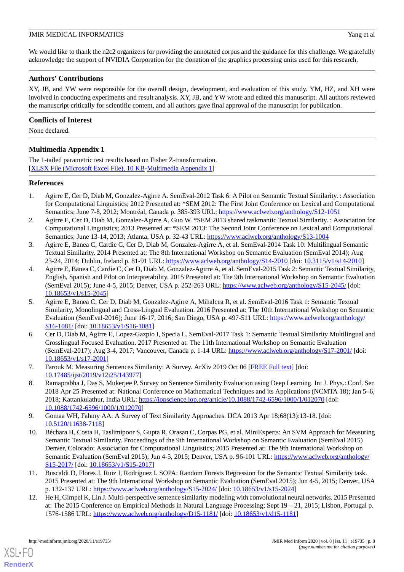We would like to thank the n2c2 organizers for providing the annotated corpus and the guidance for this challenge. We gratefully acknowledge the support of NVIDIA Corporation for the donation of the graphics processing units used for this research.

### **Authors' Contributions**

XY, JB, and YW were responsible for the overall design, development, and evaluation of this study. YM, HZ, and XH were involved in conducting experiments and result analysis. XY, JB, and YW wrote and edited this manuscript. All authors reviewed the manuscript critically for scientific content, and all authors gave final approval of the manuscript for publication.

# **Conflicts of Interest**

<span id="page-7-10"></span>None declared.

# **Multimedia Appendix 1**

The 1-tailed parametric test results based on Fisher Z-transformation. [[XLSX File \(Microsoft Excel File\), 10 KB](https://jmir.org/api/download?alt_name=medinform_v8i11e19735_app1.xlsx&filename=c05db6b5409d1ddc29f9f683f5a2089d.xlsx)-[Multimedia Appendix 1\]](https://jmir.org/api/download?alt_name=medinform_v8i11e19735_app1.xlsx&filename=c05db6b5409d1ddc29f9f683f5a2089d.xlsx)

#### <span id="page-7-0"></span>**References**

- <span id="page-7-8"></span>1. Agirre E, Cer D, Diab M, Gonzalez-Agirre A. SemEval-2012 Task 6: A Pilot on Semantic Textual Similarity. : Association for Computational Linguistics; 2012 Presented at: \*SEM 2012: The First Joint Conference on Lexical and Computational Semantics; June 7-8, 2012; Montréal, Canada p. 385-393 URL: <https://www.aclweb.org/anthology/S12-1051>
- 2. Agirre E, Cer D, Diab M, Gonzalez-Agirre A, Guo W. \*SEM 2013 shared taskmantic Textual Similarity. : Association for Computational Linguistics; 2013 Presented at: \*SEM 2013: The Second Joint Conference on Lexical and Computational Semantics; June 13-14, 2013; Atlanta, USA p. 32-43 URL:<https://www.aclweb.org/anthology/S13-1004>
- <span id="page-7-9"></span>3. Agirre E, Banea C, Cardie C, Cer D, Diab M, Gonzalez-Agirre A, et al. SemEval-2014 Task 10: Multilingual Semantic Textual Similarity. 2014 Presented at: The 8th International Workshop on Semantic Evaluation (SemEval 2014); Aug 23-24, 2014; Dublin, Ireland p. 81-91 URL: <https://www.aclweb.org/anthology/S14-2010> [doi: [10.3115/v1/s14-2010](http://dx.doi.org/10.3115/v1/s14-2010)]
- 4. Agirre E, Banea C, Cardie C, Cer D, Diab M, Gonzalez-Agirre A, et al. SemEval-2015 Task 2: Semantic Textual Similarity, English, Spanish and Pilot on Interpretability. 2015 Presented at: The 9th International Workshop on Semantic Evaluation (SemEval 2015); June 4-5, 2015; Denver, USA p. 252-263 URL:<https://www.aclweb.org/anthology/S15-2045/> [doi: [10.18653/v1/s15-2045\]](http://dx.doi.org/10.18653/v1/s15-2045)
- <span id="page-7-1"></span>5. Agirre E, Banea C, Cer D, Diab M, Gonzalez-Agirre A, Mihalcea R, et al. SemEval-2016 Task 1: Semantic Textual Similarity, Monolingual and Cross-Lingual Evaluation. 2016 Presented at: The 10th International Workshop on Semantic Evaluation (SemEval-2016); June 16-17, 2016; San Diego, USA p. 497-511 URL: [https://www.aclweb.org/anthology/](https://www.aclweb.org/anthology/S16-1081/) [S16-1081/](https://www.aclweb.org/anthology/S16-1081/) [doi: [10.18653/v1/S16-1081](http://dx.doi.org/10.18653/v1/S16-1081)]
- <span id="page-7-7"></span><span id="page-7-2"></span>6. Cer D, Diab M, Agirre E, Lopez-Gazpio I, Specia L. SemEval-2017 Task 1: Semantic Textual Similarity Multilingual and Crosslingual Focused Evaluation. 2017 Presented at: The 11th International Workshop on Semantic Evaluation (SemEval-2017); Aug 3-4, 2017; Vancouver, Canada p. 1-14 URL: <https://www.aclweb.org/anthology/S17-2001/> [doi: [10.18653/v1/s17-2001\]](http://dx.doi.org/10.18653/v1/s17-2001)
- 7. Farouk M. Measuring Sentences Similarity: A Survey. ArXiv 2019 Oct 06 [\[FREE Full text\]](https://arxiv.org/abs/1910.03940) [doi: [10.17485/ijst/2019/v12i25/143977](http://dx.doi.org/10.17485/ijst/2019/v12i25/143977)]
- <span id="page-7-4"></span><span id="page-7-3"></span>8. Ramaprabha J, Das S, Mukerjee P. Survey on Sentence Similarity Evaluation using Deep Learning. In: J. Phys.: Conf. Ser. 2018 Apr 25 Presented at: National Conference on Mathematical Techniques and its Applications (NCMTA 18); Jan 5–6, 2018; Kattankulathur, India URL: <https://iopscience.iop.org/article/10.1088/1742-6596/1000/1/012070> [doi: [10.1088/1742-6596/1000/1/012070](http://dx.doi.org/10.1088/1742-6596/1000/1/012070)]
- 9. Gomaa WH, Fahmy AA. A Survey of Text Similarity Approaches. IJCA 2013 Apr 18;68(13):13-18. [doi: [10.5120/11638-7118](http://dx.doi.org/10.5120/11638-7118)]
- <span id="page-7-6"></span><span id="page-7-5"></span>10. Béchara H, Costa H, Taslimipoor S, Gupta R, Orasan C, Corpas PG, et al. MiniExperts: An SVM Approach for Measuring Semantic Textual Similarity. Proceedings of the 9th International Workshop on Semantic Evaluation (SemEval 2015) Denver, Colorado: Association for Computational Linguistics; 2015 Presented at: The 9th International Workshop on Semantic Evaluation (SemEval 2015); Jun 4-5, 2015; Denver, USA p. 96-101 URL: [https://www.aclweb.org/anthology/](https://www.aclweb.org/anthology/S15-2017/) [S15-2017/](https://www.aclweb.org/anthology/S15-2017/) [doi: [10.18653/v1/S15-2017](http://dx.doi.org/10.18653/v1/S15-2017)]
- 11. Buscaldi D, Flores J, Ruiz I, Rodriguez I. SOPA: Random Forests Regression for the Semantic Textual Similarity task. 2015 Presented at: The 9th International Workshop on Semantic Evaluation (SemEval 2015); Jun 4-5, 2015; Denver, USA p. 132-137 URL: <https://www.aclweb.org/anthology/S15-2024/> [doi: [10.18653/v1/s15-2024\]](http://dx.doi.org/10.18653/v1/s15-2024)
- 12. He H, Gimpel K, Lin J. Multi-perspective sentence similarity modeling with convolutional neural networks. 2015 Presented at: The 2015 Conference on Empirical Methods in Natural Language Processing; Sept 19 – 21, 2015; Lisbon, Portugal p. 1576-1586 URL: <https://www.aclweb.org/anthology/D15-1181/> [doi: [10.18653/v1/d15-1181\]](http://dx.doi.org/10.18653/v1/d15-1181)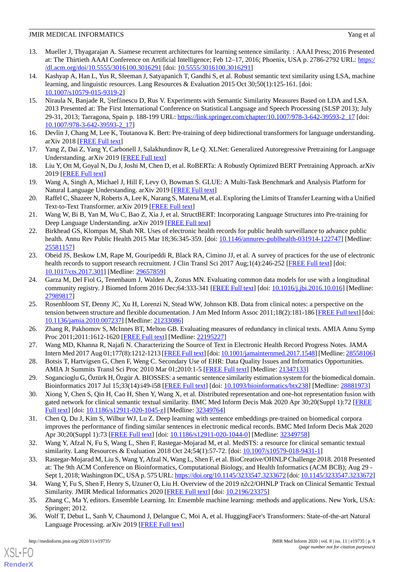- <span id="page-8-0"></span>13. Mueller J, Thyagarajan A. Siamese recurrent architectures for learning sentence similarity. : AAAI Press; 2016 Presented at: The Thirtieth AAAI Conference on Artificial Intelligence; Feb 12–17, 2016; Phoenix, USA p. 2786-2792 URL: [https:/](https://dl.acm.org/doi/10.5555/3016100.3016291) [/dl.acm.org/doi/10.5555/3016100.3016291](https://dl.acm.org/doi/10.5555/3016100.3016291) [doi: [10.5555/3016100.3016291\]](http://dx.doi.org/10.5555/3016100.3016291)
- <span id="page-8-1"></span>14. Kashyap A, Han L, Yus R, Sleeman J, Satyapanich T, Gandhi S, et al. Robust semantic text similarity using LSA, machine learning, and linguistic resources. Lang Resources & Evaluation 2015 Oct 30;50(1):125-161. [doi: [10.1007/s10579-015-9319-2\]](http://dx.doi.org/10.1007/s10579-015-9319-2)
- <span id="page-8-2"></span>15. Niraula N, Banjade R, Ştefănescu D, Rus V. Experiments with Semantic Similarity Measures Based on LDA and LSA. 2013 Presented at: The First International Conference on Statistical Language and Speech Processing (SLSP 2013); July 29-31, 2013; Tarragona, Spain p. 188-199 URL: [https://link.springer.com/chapter/10.1007/978-3-642-39593-2\\_17](https://link.springer.com/chapter/10.1007/978-3-642-39593-2_17) [doi: [10.1007/978-3-642-39593-2\\_17](http://dx.doi.org/10.1007/978-3-642-39593-2_17)]
- <span id="page-8-4"></span><span id="page-8-3"></span>16. Devlin J, Chang M, Lee K, Toutanova K. Bert: Pre-training of deep bidirectional transformers for language understanding. arXiv 2018 [\[FREE Full text\]](https://arxiv.org/abs/1810.04805)
- <span id="page-8-5"></span>17. Yang Z, Dai Z, Yang Y, Carbonell J, Salakhutdinov R, Le Q. XLNet: Generalized Autoregressive Pretraining for Language Understanding. arXiv 2019 [\[FREE Full text\]](https://arxiv.org/abs/1906.08237)
- <span id="page-8-6"></span>18. Liu Y, Ott M, Goyal N, Du J, Joshi M, Chen D, et al. RoBERTa: A Robustly Optimized BERT Pretraining Approach. arXiv 2019 [\[FREE Full text\]](https://arxiv.org/abs/1907.11692)
- <span id="page-8-7"></span>19. Wang A, Singh A, Michael J, Hill F, Levy O, Bowman S. GLUE: A Multi-Task Benchmark and Analysis Platform for Natural Language Understanding. arXiv 2019 [[FREE Full text](http://arxiv.org/abs/1804.07461)]
- <span id="page-8-8"></span>20. Raffel C, Shazeer N, Roberts A, Lee K, Narang S, Matena M, et al. Exploring the Limits of Transfer Learning with a Unified Text-to-Text Transformer. arXiv 2019 [\[FREE Full text\]](http://arxiv.org/abs/1910.10683)
- <span id="page-8-9"></span>21. Wang W, Bi B, Yan M, Wu C, Bao Z, Xia J, et al. StructBERT: Incorporating Language Structures into Pre-training for Deep Language Understanding. arXiv 2019 [[FREE Full text](http://arxiv.org/abs/1908.04577)]
- <span id="page-8-10"></span>22. Birkhead GS, Klompas M, Shah NR. Uses of electronic health records for public health surveillance to advance public health. Annu Rev Public Health 2015 Mar 18;36:345-359. [doi: [10.1146/annurev-publhealth-031914-122747\]](http://dx.doi.org/10.1146/annurev-publhealth-031914-122747) [Medline: [25581157](http://www.ncbi.nlm.nih.gov/entrez/query.fcgi?cmd=Retrieve&db=PubMed&list_uids=25581157&dopt=Abstract)]
- <span id="page-8-11"></span>23. Obeid JS, Beskow LM, Rape M, Gouripeddi R, Black RA, Cimino JJ, et al. A survey of practices for the use of electronic health records to support research recruitment. J Clin Transl Sci 2017 Aug;1(4):246-252 [\[FREE Full text\]](http://europepmc.org/abstract/MED/29657859) [doi: [10.1017/cts.2017.301\]](http://dx.doi.org/10.1017/cts.2017.301) [Medline: [29657859\]](http://www.ncbi.nlm.nih.gov/entrez/query.fcgi?cmd=Retrieve&db=PubMed&list_uids=29657859&dopt=Abstract)
- <span id="page-8-12"></span>24. Garza M, Del Fiol G, Tenenbaum J, Walden A, Zozus MN. Evaluating common data models for use with a longitudinal community registry. J Biomed Inform 2016 Dec;64:333-341 [[FREE Full text\]](https://linkinghub.elsevier.com/retrieve/pii/S1532-0464(16)30153-8) [doi: [10.1016/j.jbi.2016.10.016\]](http://dx.doi.org/10.1016/j.jbi.2016.10.016) [Medline: [27989817](http://www.ncbi.nlm.nih.gov/entrez/query.fcgi?cmd=Retrieve&db=PubMed&list_uids=27989817&dopt=Abstract)]
- <span id="page-8-14"></span><span id="page-8-13"></span>25. Rosenbloom ST, Denny JC, Xu H, Lorenzi N, Stead WW, Johnson KB. Data from clinical notes: a perspective on the tension between structure and flexible documentation. J Am Med Inform Assoc 2011;18(2):181-186 [[FREE Full text](http://jamia.oxfordjournals.org/cgi/pmidlookup?view=long&pmid=21233086)] [doi: [10.1136/jamia.2010.007237](http://dx.doi.org/10.1136/jamia.2010.007237)] [Medline: [21233086\]](http://www.ncbi.nlm.nih.gov/entrez/query.fcgi?cmd=Retrieve&db=PubMed&list_uids=21233086&dopt=Abstract)
- <span id="page-8-15"></span>26. Zhang R, Pakhomov S, McInnes BT, Melton GB. Evaluating measures of redundancy in clinical texts. AMIA Annu Symp Proc 2011;2011:1612-1620 [\[FREE Full text](http://europepmc.org/abstract/MED/22195227)] [Medline: [22195227](http://www.ncbi.nlm.nih.gov/entrez/query.fcgi?cmd=Retrieve&db=PubMed&list_uids=22195227&dopt=Abstract)]
- <span id="page-8-16"></span>27. Wang MD, Khanna R, Najafi N. Characterizing the Source of Text in Electronic Health Record Progress Notes. JAMA Intern Med 2017 Aug 01;177(8):1212-1213 [[FREE Full text](http://europepmc.org/abstract/MED/28558106)] [doi: [10.1001/jamainternmed.2017.1548](http://dx.doi.org/10.1001/jamainternmed.2017.1548)] [Medline: [28558106\]](http://www.ncbi.nlm.nih.gov/entrez/query.fcgi?cmd=Retrieve&db=PubMed&list_uids=28558106&dopt=Abstract)
- <span id="page-8-20"></span>28. Botsis T, Hartvigsen G, Chen F, Weng C. Secondary Use of EHR: Data Quality Issues and Informatics Opportunities. AMIA Jt Summits Transl Sci Proc 2010 Mar 01;2010:1-5 [\[FREE Full text\]](http://europepmc.org/abstract/MED/21347133) [Medline: [21347133](http://www.ncbi.nlm.nih.gov/entrez/query.fcgi?cmd=Retrieve&db=PubMed&list_uids=21347133&dopt=Abstract)]
- <span id="page-8-17"></span>29. Sogancioglu G, Öztürk H, Özgür A. BIOSSES: a semantic sentence similarity estimation system for the biomedical domain. Bioinformatics 2017 Jul 15;33(14):i49-i58 [[FREE Full text](http://europepmc.org/abstract/MED/28881973)] [doi: [10.1093/bioinformatics/btx238](http://dx.doi.org/10.1093/bioinformatics/btx238)] [Medline: [28881973](http://www.ncbi.nlm.nih.gov/entrez/query.fcgi?cmd=Retrieve&db=PubMed&list_uids=28881973&dopt=Abstract)]
- <span id="page-8-18"></span>30. Xiong Y, Chen S, Qin H, Cao H, Shen Y, Wang X, et al. Distributed representation and one-hot representation fusion with gated network for clinical semantic textual similarity. BMC Med Inform Decis Mak 2020 Apr 30;20(Suppl 1):72 [[FREE](https://bmcmedinformdecismak.biomedcentral.com/articles/10.1186/s12911-020-1045-z) [Full text\]](https://bmcmedinformdecismak.biomedcentral.com/articles/10.1186/s12911-020-1045-z) [doi: [10.1186/s12911-020-1045-z\]](http://dx.doi.org/10.1186/s12911-020-1045-z) [Medline: [32349764\]](http://www.ncbi.nlm.nih.gov/entrez/query.fcgi?cmd=Retrieve&db=PubMed&list_uids=32349764&dopt=Abstract)
- <span id="page-8-19"></span>31. Chen Q, Du J, Kim S, Wilbur WJ, Lu Z. Deep learning with sentence embeddings pre-trained on biomedical corpora improves the performance of finding similar sentences in electronic medical records. BMC Med Inform Decis Mak 2020 Apr 30;20(Suppl 1):73 [[FREE Full text\]](https://bmcmedinformdecismak.biomedcentral.com/articles/10.1186/s12911-020-1044-0) [doi: [10.1186/s12911-020-1044-0](http://dx.doi.org/10.1186/s12911-020-1044-0)] [Medline: [32349758](http://www.ncbi.nlm.nih.gov/entrez/query.fcgi?cmd=Retrieve&db=PubMed&list_uids=32349758&dopt=Abstract)]
- <span id="page-8-22"></span><span id="page-8-21"></span>32. Wang Y, Afzal N, Fu S, Wang L, Shen F, Rastegar-Mojarad M, et al. MedSTS: a resource for clinical semantic textual similarity. Lang Resources & Evaluation 2018 Oct 24;54(1):57-72. [doi: [10.1007/s10579-018-9431-1](http://dx.doi.org/10.1007/s10579-018-9431-1)]
- <span id="page-8-23"></span>33. Rastegar-Mojarad M, Liu S, Wang Y, Afzal N, Wang L, Shen F, et al. BioCreative/OHNLP Challenge 2018. 2018 Presented at: The 9th ACM Conference on Bioinformatics, Computational Biology, and Health Informatics (ACM BCB); Aug 29 - Sept 1, 2018; Washington DC, USA p. 575 URL:<https://doi.org/10.1145/3233547.3233672> [doi: [10.1145/3233547.3233672\]](http://dx.doi.org/10.1145/3233547.3233672)
- 34. Wang Y, Fu S, Shen F, Henry S, Uzuner O, Liu H. Overview of the 2019 n2c2/OHNLP Track on Clinical Semantic Textual Similarity. JMIR Medical Informatics 2020 [[FREE Full text](https://preprints.jmir.org/preprint/23375)] [doi: [10.2196/23375\]](http://dx.doi.org/10.2196/23375)
- 35. Zhang C, Ma Y, editors. Ensemble Learning. In: Ensemble machine learning: methods and applications. New York, USA: Springer; 2012.
- 36. Wolf T, Debut L, Sanh V, Chaumond J, Delangue C, Moi A, et al. HuggingFace's Transformers: State-of-the-art Natural Language Processing. arXiv 2019 [[FREE Full text](https://arxiv.org/abs/1910.03771)]

 $XS$  • FO **[RenderX](http://www.renderx.com/)**